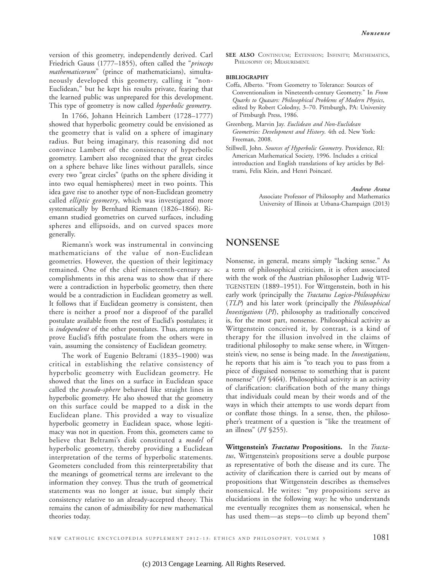version of this geometry, independently derived. Carl Friedrich Gauss (1777–1855), often called the "*princeps mathematicorum*" (prince of mathematicians), simultaneously developed this geometry, calling it "non-Euclidean," but he kept his results private, fearing that the learned public was unprepared for this development. This type of geometry is now called *hyperbolic geometry*.

In 1766, Johann Heinrich Lambert (1728–1777) showed that hyperbolic geometry could be envisioned as the geometry that is valid on a sphere of imaginary radius. But being imaginary, this reasoning did not convince Lambert of the consistency of hyperbolic geometry. Lambert also recognized that the great circles on a sphere behave like lines without parallels, since every two "great circles" (paths on the sphere dividing it into two equal hemispheres) meet in two points. This idea gave rise to another type of non-Euclidean geometry called *elliptic geometry*, which was investigated more systematically by Bernhard Riemann (1826–1866). Riemann studied geometries on curved surfaces, including spheres and ellipsoids, and on curved spaces more generally.

Riemann's work was instrumental in convincing mathematicians of the value of non-Euclidean geometries. However, the question of their legitimacy remained. One of the chief nineteenth-century accomplishments in this arena was to show that if there were a contradiction in hyperbolic geometry, then there would be a contradiction in Euclidean geometry as well. It follows that if Euclidean geometry is consistent, then there is neither a proof nor a disproof of the parallel postulate available from the rest of Euclid's postulates; it is *independent* of the other postulates. Thus, attempts to prove Euclid's fifth postulate from the others were in vain, assuming the consistency of Euclidean geometry.

The work of Eugenio Beltrami (1835–1900) was critical in establishing the relative consistency of hyperbolic geometry with Euclidean geometry. He showed that the lines on a surface in Euclidean space called the *pseudo-sphere* behaved like straight lines in hyperbolic geometry. He also showed that the geometry on this surface could be mapped to a disk in the Euclidean plane. This provided a way to visualize hyperbolic geometry in Euclidean space, whose legitimacy was not in question. From this, geometers came to believe that Beltrami's disk constituted a *model* of hyperbolic geometry, thereby providing a Euclidean interpretation of the terms of hyperbolic statements. Geometers concluded from this reinterpretability that the meanings of geometrical terms are irrelevant to the information they convey. Thus the truth of geometrical statements was no longer at issue, but simply their consistency relative to an already-accepted theory. This remains the canon of admissibility for new mathematical theories today.

SEE ALSO CONTINUUM; EXTENSION; INFINITY; MATHEMATICS, PHILOSOPHY OF; MEASUREMENT.

## **BIBLIOGRAPHY**

- Coffa, Alberto. "From Geometry to Tolerance: Sources of Conventionalism in Nineteenth-century Geometry." In *From Quarks to Quasars: Philosophical Problems of Modern Physics*, edited by Robert Colodny, 3–70. Pittsburgh, PA: University of Pittsburgh Press, 1986.
- Greenberg, Marvin Jay. *Euclidean and Non-Euclidean Geometries: Development and History*. 4th ed. New York: Freeman, 2008.
- Stillwell, John. *Sources of Hyperbolic Geometry*. Providence, RI: American Mathematical Society, 1996. Includes a critical introduction and English translations of key articles by Beltrami, Felix Klein, and Henri Poincaré.

*Andrew Arana* Associate Professor of Philosophy and Mathematics University of Illinois at Urbana-Champaign (2013)

## **NONSENSE**

Nonsense, in general, means simply "lacking sense." As a term of philosophical criticism, it is often associated with the work of the Austrian philosopher Ludwig WIT- TGENSTEIN (1889–1951). For Wittgenstein, both in his early work (principally the *Tractatus Logico-Philosophicus* (*TLP*) and his later work (principally the *Philosophical Investigations* (*PI*), philosophy as traditionally conceived is, for the most part, nonsense. Philosophical activity as Wittgenstein conceived it, by contrast, is a kind of therapy for the illusion involved in the claims of traditional philosophy to make sense where, in Wittgenstein's view, no sense is being made. In the *Investigations*, he reports that his aim is "to teach you to pass from a piece of disguised nonsense to something that is patent nonsense" (*PI* §464). Philosophical activity is an activity of clarification: clarification both of the many things that individuals could mean by their words and of the ways in which their attempts to use words depart from or conflate those things. In a sense, then, the philosopher's treatment of a question is "like the treatment of an illness" (*PI* §255).

**Wittgenstein's** *Tractatus* **Propositions.** In the *Tractatus*, Wittgenstein's propositions serve a double purpose as representative of both the disease and its cure. The activity of clarification there is carried out by means of propositions that Wittgenstein describes as themselves nonsensical. He writes: "my propositions serve as elucidations in the following way: he who understands me eventually recognizes them as nonsensical, when he has used them—as steps—to climb up beyond them"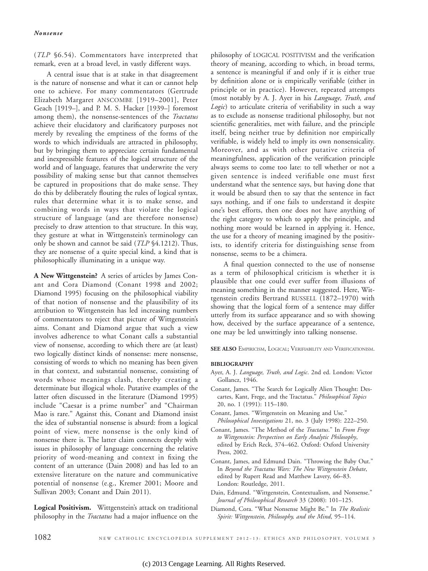(*TLP* §6.54). Commentators have interpreted that remark, even at a broad level, in vastly different ways.

A central issue that is at stake in that disagreement is the nature of nonsense and what it can or cannot help one to achieve. For many commentators (Gertrude Elizabeth Margaret ANSCOMBE [1919–2001], Peter Geach [1919–], and P. M. S. Hacker [1939–] foremost among them), the nonsense-sentences of the *Tractatus* achieve their elucidatory and clarificatory purposes not merely by revealing the emptiness of the forms of the words to which individuals are attracted in philosophy, but by bringing them to appreciate certain fundamental and inexpressible features of the logical structure of the world and of language, features that underwrite the very possibility of making sense but that cannot themselves be captured in propositions that do make sense. They do this by deliberately flouting the rules of logical syntax, rules that determine what it is to make sense, and combining words in ways that violate the logical structure of language (and are therefore nonsense) precisely to draw attention to that structure. In this way, they gesture at what in Wittgenstein's terminology can only be shown and cannot be said (*TLP* §4.1212). Thus, they are nonsense of a quite special kind, a kind that is philosophically illuminating in a unique way.

**A New Wittgenstein?** A series of articles by James Conant and Cora Diamond (Conant 1998 and 2002; Diamond 1995) focusing on the philosophical viability of that notion of nonsense and the plausibility of its attribution to Wittgenstein has led increasing numbers of commentators to reject that picture of Wittgenstein's aims. Conant and Diamond argue that such a view involves adherence to what Conant calls a substantial view of nonsense, according to which there are (at least) two logically distinct kinds of nonsense: mere nonsense, consisting of words to which no meaning has been given in that context, and substantial nonsense, consisting of words whose meanings clash, thereby creating a determinate but illogical whole. Putative examples of the latter often discussed in the literature (Diamond 1995) include "Caesar is a prime number" and "Chairman Mao is rare." Against this, Conant and Diamond insist the idea of substantial nonsense is absurd: from a logical point of view, mere nonsense is the only kind of nonsense there is. The latter claim connects deeply with issues in philosophy of language concerning the relative priority of word-meaning and context in fixing the content of an utterance (Dain 2008) and has led to an extensive literature on the nature and communicative potential of nonsense (e.g., Kremer 2001; Moore and Sullivan 2003; Conant and Dain 2011).

**Logical Positivism.** Wittgenstein's attack on traditional philosophy in the *Tractatus* had a major influence on the

philosophy of LOGICAL POSITIVISM and the verification theory of meaning, according to which, in broad terms, a sentence is meaningful if and only if it is either true by definition alone or is empirically verifiable (either in principle or in practice). However, repeated attempts (most notably by A. J. Ayer in his *Language, Truth, and Logic*) to articulate criteria of verifiability in such a way as to exclude as nonsense traditional philosophy, but not scientific generalities, met with failure, and the principle itself, being neither true by definition nor empirically verifiable, is widely held to imply its own nonsensicality. Moreover, and as with other putative criteria of meaningfulness, application of the verification principle always seems to come too late: to tell whether or not a given sentence is indeed verifiable one must first understand what the sentence says, but having done that it would be absurd then to say that the sentence in fact says nothing, and if one fails to understand it despite one's best efforts, then one does not have anything of the right category to which to apply the principle, and nothing more would be learned in applying it. Hence, the use for a theory of meaning imagined by the positivists, to identify criteria for distinguishing sense from nonsense, seems to be a chimera.

A final question connected to the use of nonsense as a term of philosophical criticism is whether it is plausible that one could ever suffer from illusions of meaning something in the manner suggested. Here, Wittgenstein credits Bertrand RUSSELL (1872–1970) with showing that the logical form of a sentence may differ utterly from its surface appearance and so with showing how, deceived by the surface appearance of a sentence, one may be led unwittingly into talking nonsense.

**SEE ALSO** EMPIRICISM, LOGICAL; VERIFIABILITY AND VERIFICATIONISM.

## **BIBLIOGRAPHY**

- Ayer, A. J. *Language, Truth, and Logic*. 2nd ed. London: Victor Gollancz, 1946.
- Conant, James. "The Search for Logically Alien Thought: Descartes, Kant, Frege, and the Tractatus." *Philosophical Topics* 20, no. 1 (1991): 115–180.
- Conant, James. "Wittgenstein on Meaning and Use." *Philosophical Investigations* 21, no. 3 (July 1998): 222–250.
- Conant, James. "The Method of the *Tractatus*." In *From Frege to Wittgenstein: Perspectives on Early Analytic Philosophy*, edited by Erich Reck, 374–462. Oxford: Oxford University Press, 2002.
- Conant, James, and Edmund Dain. "Throwing the Baby Out." In *Beyond the Tractatus Wars: The New Wittgenstein Debate*, edited by Rupert Read and Matthew Lavery, 66–83. London: Routledge, 2011.
- Dain, Edmund. "Wittgenstein, Contextualism, and Nonsense." *Journal of Philosophical Research* 33 (2008): 101–125.
- Diamond, Cora. "What Nonsense Might Be." In *The Realistic Spirit: Wittgenstein, Philosophy, and the Mind*, 95–114.